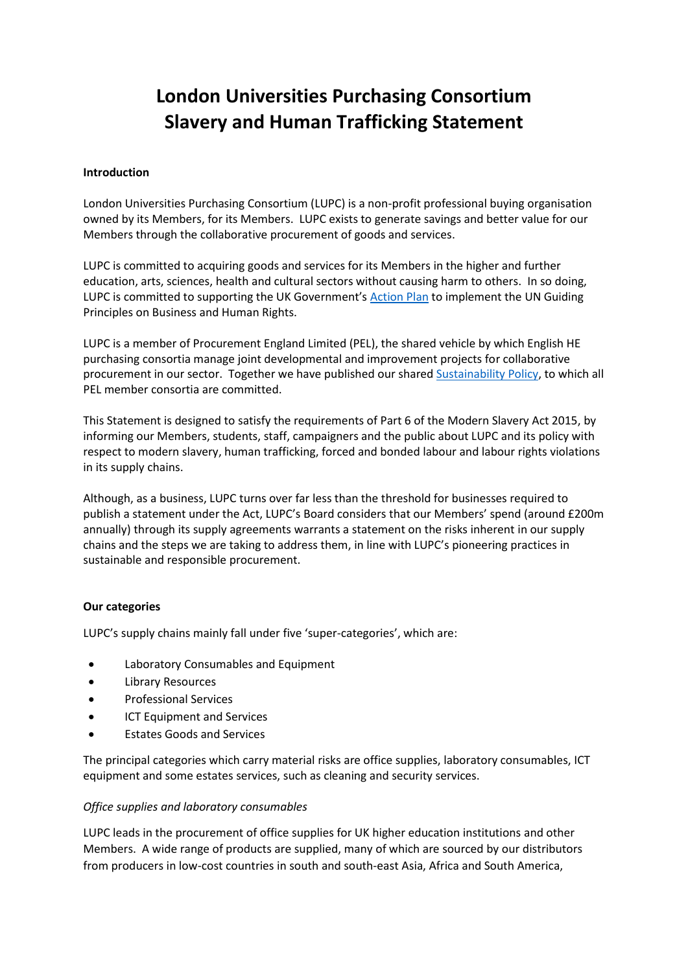# **London Universities Purchasing Consortium Slavery and Human Trafficking Statement**

## **Introduction**

London Universities Purchasing Consortium (LUPC) is a non-profit professional buying organisation owned by its Members, for its Members. LUPC exists to generate savings and better value for our Members through the collaborative procurement of goods and services.

LUPC is committed to acquiring goods and services for its Members in the higher and further education, arts, sciences, health and cultural sectors without causing harm to others. In so doing, LUPC is committed to supporting the UK Government's [Action Plan](https://www.gov.uk/government/uploads/system/uploads/attachment_data/file/236901/BHR_Action_Plan_-_final_online_version_1_.pdf) to implement the UN Guiding Principles on Business and Human Rights.

LUPC is a member of Procurement England Limited (PEL), the shared vehicle by which English HE purchasing consortia manage joint developmental and improvement projects for collaborative procurement in our sector. Together we have published our share[d Sustainability Policy,](http://static.uk-plc.net/library/london-universities-purchasing-consortium/documents/pel/pel-sustainabilty-policy.pdf) to which all PEL member consortia are committed.

This Statement is designed to satisfy the requirements of Part 6 of the Modern Slavery Act 2015, by informing our Members, students, staff, campaigners and the public about LUPC and its policy with respect to modern slavery, human trafficking, forced and bonded labour and labour rights violations in its supply chains.

Although, as a business, LUPC turns over far less than the threshold for businesses required to publish a statement under the Act, LUPC's Board considers that our Members' spend (around £200m annually) through its supply agreements warrants a statement on the risks inherent in our supply chains and the steps we are taking to address them, in line with LUPC's pioneering practices in sustainable and responsible procurement.

## **Our categories**

LUPC's supply chains mainly fall under five 'super-categories', which are:

- Laboratory Consumables and Equipment
- Library Resources
- Professional Services
- ICT Equipment and Services
- Estates Goods and Services

The principal categories which carry material risks are office supplies, laboratory consumables, ICT equipment and some estates services, such as cleaning and security services.

## *Office supplies and laboratory consumables*

LUPC leads in the procurement of office supplies for UK higher education institutions and other Members. A wide range of products are supplied, many of which are sourced by our distributors from producers in low-cost countries in south and south-east Asia, Africa and South America,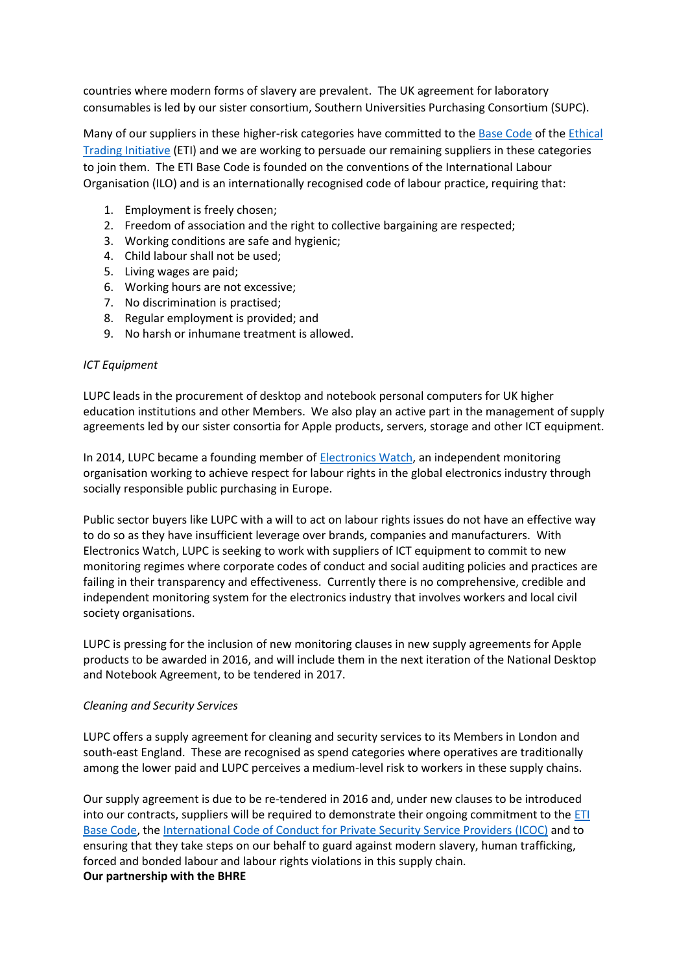countries where modern forms of slavery are prevalent. The UK agreement for laboratory consumables is led by our sister consortium, Southern Universities Purchasing Consortium (SUPC).

Many of our suppliers in these higher-risk categories have committed to the [Base Code](http://www.ethicaltrade.org/sites/default/files/resources/ETI%20Base%20Code%2C%20English.pdf) of the [Ethical](http://www.ethicaltrade.org/)  [Trading Initiative](http://www.ethicaltrade.org/) (ETI) and we are working to persuade our remaining suppliers in these categories to join them. The ETI Base Code is founded on the conventions of the International Labour Organisation (ILO) and is an internationally recognised code of labour practice, requiring that:

- 1. Employment is freely chosen;
- 2. Freedom of association and the right to collective bargaining are respected;
- 3. Working conditions are safe and hygienic;
- 4. Child labour shall not be used;
- 5. Living wages are paid;
- 6. Working hours are not excessive;
- 7. No discrimination is practised;
- 8. Regular employment is provided; and
- 9. No harsh or inhumane treatment is allowed.

#### *ICT Equipment*

LUPC leads in the procurement of desktop and notebook personal computers for UK higher education institutions and other Members. We also play an active part in the management of supply agreements led by our sister consortia for Apple products, servers, storage and other ICT equipment.

In 2014, LUPC became a founding member o[f Electronics Watch,](http://electronicswatch.org/en) an independent monitoring organisation working to achieve respect for labour rights in the global electronics industry through socially responsible public purchasing in Europe.

Public sector buyers like LUPC with a will to act on labour rights issues do not have an effective way to do so as they have insufficient leverage over brands, companies and manufacturers. With Electronics Watch, LUPC is seeking to work with suppliers of ICT equipment to commit to new monitoring regimes where corporate codes of conduct and social auditing policies and practices are failing in their transparency and effectiveness. Currently there is no comprehensive, credible and independent monitoring system for the electronics industry that involves workers and local civil society organisations.

LUPC is pressing for the inclusion of new monitoring clauses in new supply agreements for Apple products to be awarded in 2016, and will include them in the next iteration of the National Desktop and Notebook Agreement, to be tendered in 2017.

## *Cleaning and Security Services*

LUPC offers a supply agreement for cleaning and security services to its Members in London and south-east England. These are recognised as spend categories where operatives are traditionally among the lower paid and LUPC perceives a medium-level risk to workers in these supply chains.

Our supply agreement is due to be re-tendered in 2016 and, under new clauses to be introduced into our contracts, suppliers will be required to demonstrate their ongoing commitment to the [ETI](http://www.ethicaltrade.org/sites/default/files/resources/ETI%20Base%20Code%2C%20English.pdf)  [Base Code,](http://www.ethicaltrade.org/sites/default/files/resources/ETI%20Base%20Code%2C%20English.pdf) the [International Code of Conduct for Private Security Service Providers](http://www.geneva-academy.ch/docs/publications/briefing4_web_final.pdf) (ICOC) and to ensuring that they take steps on our behalf to guard against modern slavery, human trafficking, forced and bonded labour and labour rights violations in this supply chain. **Our partnership with the BHRE**